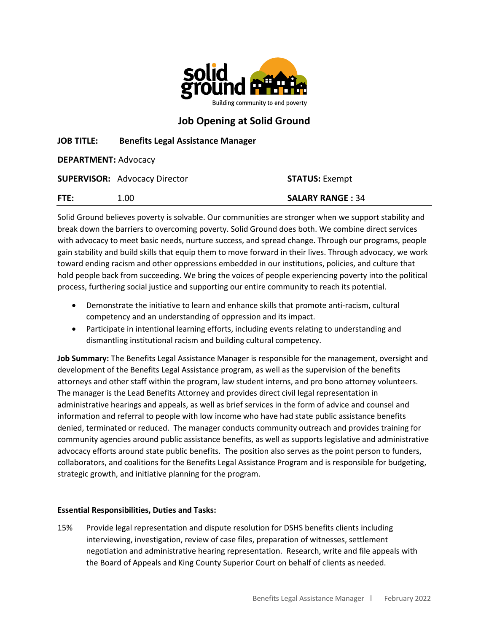

# Job Opening at Solid Ground

## JOB TITLE: Benefits Legal Assistance Manager

DEPARTMENT: Advocacy

|      | <b>SUPERVISOR: Advocacy Director</b> | <b>STATUS: Exempt</b>   |
|------|--------------------------------------|-------------------------|
| FTE: | 1.00                                 | <b>SALARY RANGE: 34</b> |

Solid Ground believes poverty is solvable. Our communities are stronger when we support stability and break down the barriers to overcoming poverty. Solid Ground does both. We combine direct services with advocacy to meet basic needs, nurture success, and spread change. Through our programs, people gain stability and build skills that equip them to move forward in their lives. Through advocacy, we work toward ending racism and other oppressions embedded in our institutions, policies, and culture that hold people back from succeeding. We bring the voices of people experiencing poverty into the political process, furthering social justice and supporting our entire community to reach its potential.

- Demonstrate the initiative to learn and enhance skills that promote anti-racism, cultural competency and an understanding of oppression and its impact.
- Participate in intentional learning efforts, including events relating to understanding and dismantling institutional racism and building cultural competency.

Job Summary: The Benefits Legal Assistance Manager is responsible for the management, oversight and development of the Benefits Legal Assistance program, as well as the supervision of the benefits attorneys and other staff within the program, law student interns, and pro bono attorney volunteers. The manager is the Lead Benefits Attorney and provides direct civil legal representation in administrative hearings and appeals, as well as brief services in the form of advice and counsel and information and referral to people with low income who have had state public assistance benefits denied, terminated or reduced. The manager conducts community outreach and provides training for community agencies around public assistance benefits, as well as supports legislative and administrative advocacy efforts around state public benefits. The position also serves as the point person to funders, collaborators, and coalitions for the Benefits Legal Assistance Program and is responsible for budgeting, strategic growth, and initiative planning for the program.

#### Essential Responsibilities, Duties and Tasks:

15% Provide legal representation and dispute resolution for DSHS benefits clients including interviewing, investigation, review of case files, preparation of witnesses, settlement negotiation and administrative hearing representation. Research, write and file appeals with the Board of Appeals and King County Superior Court on behalf of clients as needed.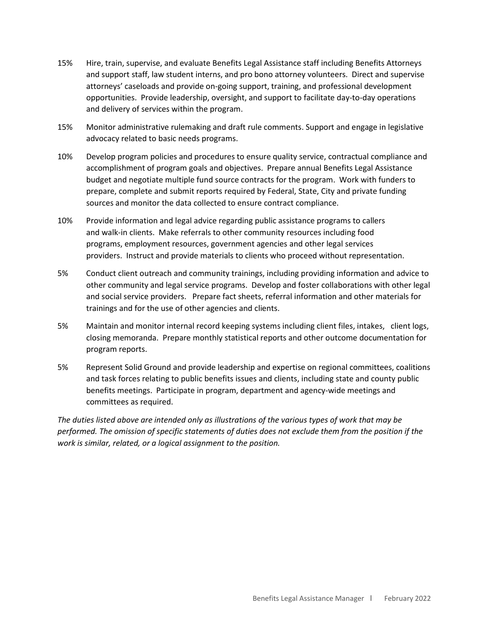- 15% Hire, train, supervise, and evaluate Benefits Legal Assistance staff including Benefits Attorneys and support staff, law student interns, and pro bono attorney volunteers. Direct and supervise attorneys' caseloads and provide on-going support, training, and professional development opportunities. Provide leadership, oversight, and support to facilitate day-to-day operations and delivery of services within the program.
- 15% Monitor administrative rulemaking and draft rule comments. Support and engage in legislative advocacy related to basic needs programs.
- 10% Develop program policies and procedures to ensure quality service, contractual compliance and accomplishment of program goals and objectives. Prepare annual Benefits Legal Assistance budget and negotiate multiple fund source contracts for the program. Work with funders to prepare, complete and submit reports required by Federal, State, City and private funding sources and monitor the data collected to ensure contract compliance.
- 10% Provide information and legal advice regarding public assistance programs to callers and walk-in clients. Make referrals to other community resources including food programs, employment resources, government agencies and other legal services providers. Instruct and provide materials to clients who proceed without representation.
- 5% Conduct client outreach and community trainings, including providing information and advice to other community and legal service programs. Develop and foster collaborations with other legal and social service providers. Prepare fact sheets, referral information and other materials for trainings and for the use of other agencies and clients.
- 5% Maintain and monitor internal record keeping systems including client files, intakes, client logs, closing memoranda. Prepare monthly statistical reports and other outcome documentation for program reports.
- 5% Represent Solid Ground and provide leadership and expertise on regional committees, coalitions and task forces relating to public benefits issues and clients, including state and county public benefits meetings. Participate in program, department and agency-wide meetings and committees as required.

The duties listed above are intended only as illustrations of the various types of work that may be performed. The omission of specific statements of duties does not exclude them from the position if the work is similar, related, or a logical assignment to the position.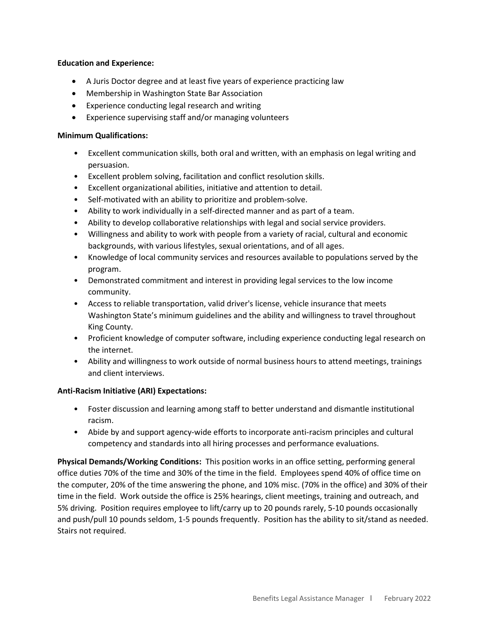#### Education and Experience:

- A Juris Doctor degree and at least five years of experience practicing law
- Membership in Washington State Bar Association
- Experience conducting legal research and writing
- Experience supervising staff and/or managing volunteers

#### Minimum Qualifications:

- Excellent communication skills, both oral and written, with an emphasis on legal writing and persuasion.
- Excellent problem solving, facilitation and conflict resolution skills.
- Excellent organizational abilities, initiative and attention to detail.
- Self-motivated with an ability to prioritize and problem-solve.
- Ability to work individually in a self-directed manner and as part of a team.
- Ability to develop collaborative relationships with legal and social service providers.
- Willingness and ability to work with people from a variety of racial, cultural and economic backgrounds, with various lifestyles, sexual orientations, and of all ages.
- Knowledge of local community services and resources available to populations served by the program.
- Demonstrated commitment and interest in providing legal services to the low income community.
- Access to reliable transportation, valid driver's license, vehicle insurance that meets Washington State's minimum guidelines and the ability and willingness to travel throughout King County.
- Proficient knowledge of computer software, including experience conducting legal research on the internet.
- Ability and willingness to work outside of normal business hours to attend meetings, trainings and client interviews.

#### Anti-Racism Initiative (ARI) Expectations:

- Foster discussion and learning among staff to better understand and dismantle institutional racism.
- Abide by and support agency-wide efforts to incorporate anti-racism principles and cultural competency and standards into all hiring processes and performance evaluations.

Physical Demands/Working Conditions: This position works in an office setting, performing general office duties 70% of the time and 30% of the time in the field. Employees spend 40% of office time on the computer, 20% of the time answering the phone, and 10% misc. (70% in the office) and 30% of their time in the field. Work outside the office is 25% hearings, client meetings, training and outreach, and 5% driving. Position requires employee to lift/carry up to 20 pounds rarely, 5-10 pounds occasionally and push/pull 10 pounds seldom, 1-5 pounds frequently. Position has the ability to sit/stand as needed. Stairs not required.